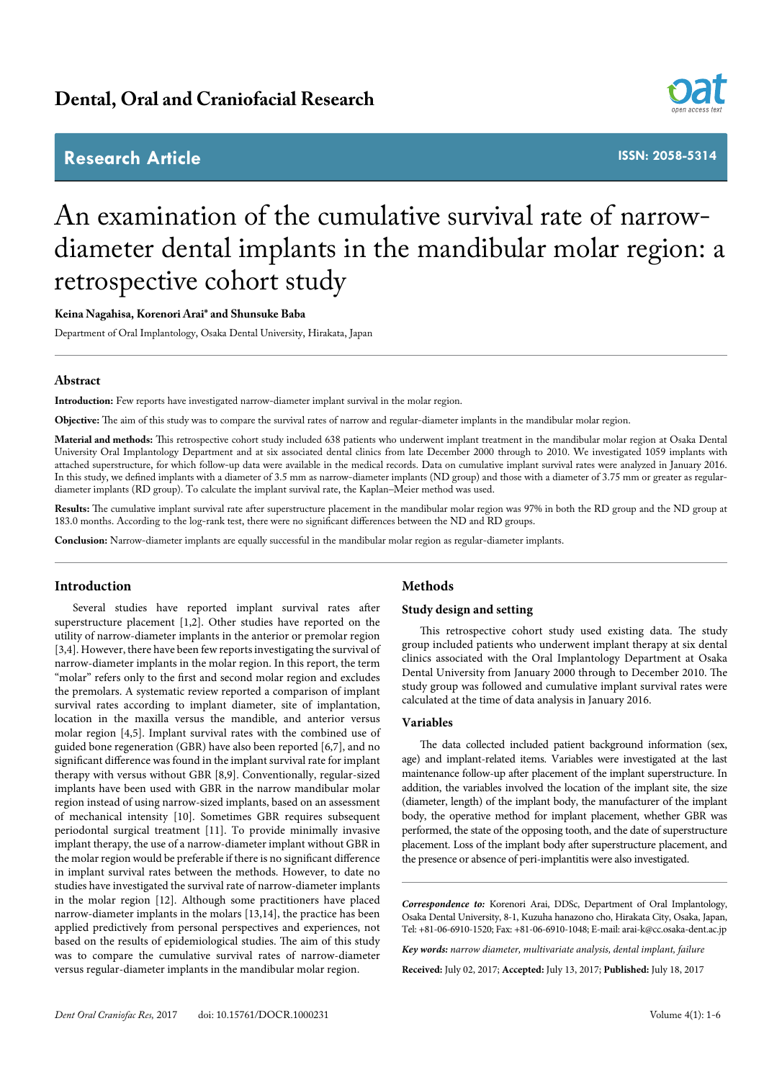# **Research Article**



**ISSN: 2058-5314**

# An examination of the cumulative survival rate of narrowdiameter dental implants in the mandibular molar region: a retrospective cohort study

**Keina Nagahisa, Korenori Arai\* and Shunsuke Baba**

Department of Oral Implantology, Osaka Dental University, Hirakata, Japan

# **Abstract**

**Introduction:** Few reports have investigated narrow-diameter implant survival in the molar region.

**Objective:** The aim of this study was to compare the survival rates of narrow and regular-diameter implants in the mandibular molar region.

**Material and methods:** This retrospective cohort study included 638 patients who underwent implant treatment in the mandibular molar region at Osaka Dental University Oral Implantology Department and at six associated dental clinics from late December 2000 through to 2010. We investigated 1059 implants with attached superstructure, for which follow-up data were available in the medical records. Data on cumulative implant survival rates were analyzed in January 2016. In this study, we defined implants with a diameter of 3.5 mm as narrow-diameter implants (ND group) and those with a diameter of 3.75 mm or greater as regulardiameter implants (RD group). To calculate the implant survival rate, the Kaplan–Meier method was used.

**Results:** The cumulative implant survival rate after superstructure placement in the mandibular molar region was 97% in both the RD group and the ND group at 183.0 months. According to the log-rank test, there were no significant differences between the ND and RD groups.

**Conclusion:** Narrow-diameter implants are equally successful in the mandibular molar region as regular-diameter implants.

# **Introduction**

Several studies have reported implant survival rates after superstructure placement [1,2]. Other studies have reported on the utility of narrow-diameter implants in the anterior or premolar region [3,4]. However, there have been few reports investigating the survival of narrow-diameter implants in the molar region. In this report, the term "molar" refers only to the first and second molar region and excludes the premolars. A systematic review reported a comparison of implant survival rates according to implant diameter, site of implantation, location in the maxilla versus the mandible, and anterior versus molar region [4,5]. Implant survival rates with the combined use of guided bone regeneration (GBR) have also been reported [6,7], and no significant difference was found in the implant survival rate for implant therapy with versus without GBR [8,9]. Conventionally, regular-sized implants have been used with GBR in the narrow mandibular molar region instead of using narrow-sized implants, based on an assessment of mechanical intensity [10]. Sometimes GBR requires subsequent periodontal surgical treatment [11]. To provide minimally invasive implant therapy, the use of a narrow-diameter implant without GBR in the molar region would be preferable if there is no significant difference in implant survival rates between the methods. However, to date no studies have investigated the survival rate of narrow-diameter implants in the molar region [12]. Although some practitioners have placed narrow-diameter implants in the molars [13,14], the practice has been applied predictively from personal perspectives and experiences, not based on the results of epidemiological studies. The aim of this study was to compare the cumulative survival rates of narrow-diameter versus regular-diameter implants in the mandibular molar region.

# **Methods**

# **Study design and setting**

This retrospective cohort study used existing data. The study group included patients who underwent implant therapy at six dental clinics associated with the Oral Implantology Department at Osaka Dental University from January 2000 through to December 2010. The study group was followed and cumulative implant survival rates were calculated at the time of data analysis in January 2016.

# **Variables**

The data collected included patient background information (sex, age) and implant-related items. Variables were investigated at the last maintenance follow-up after placement of the implant superstructure. In addition, the variables involved the location of the implant site, the size (diameter, length) of the implant body, the manufacturer of the implant body, the operative method for implant placement, whether GBR was performed, the state of the opposing tooth, and the date of superstructure placement. Loss of the implant body after superstructure placement, and the presence or absence of peri-implantitis were also investigated.

*Correspondence to:* Korenori Arai, DDSc, Department of Oral Implantology, Osaka Dental University, 8-1, Kuzuha hanazono cho, Hirakata City, Osaka, Japan, Tel: +81-06-6910-1520; Fax: +81-06-6910-1048; E-mail: arai-k@cc.osaka-dent.ac.jp

*Key words: narrow diameter, multivariate analysis, dental implant, failure*

**Received:** July 02, 2017; **Accepted:** July 13, 2017; **Published:** July 18, 2017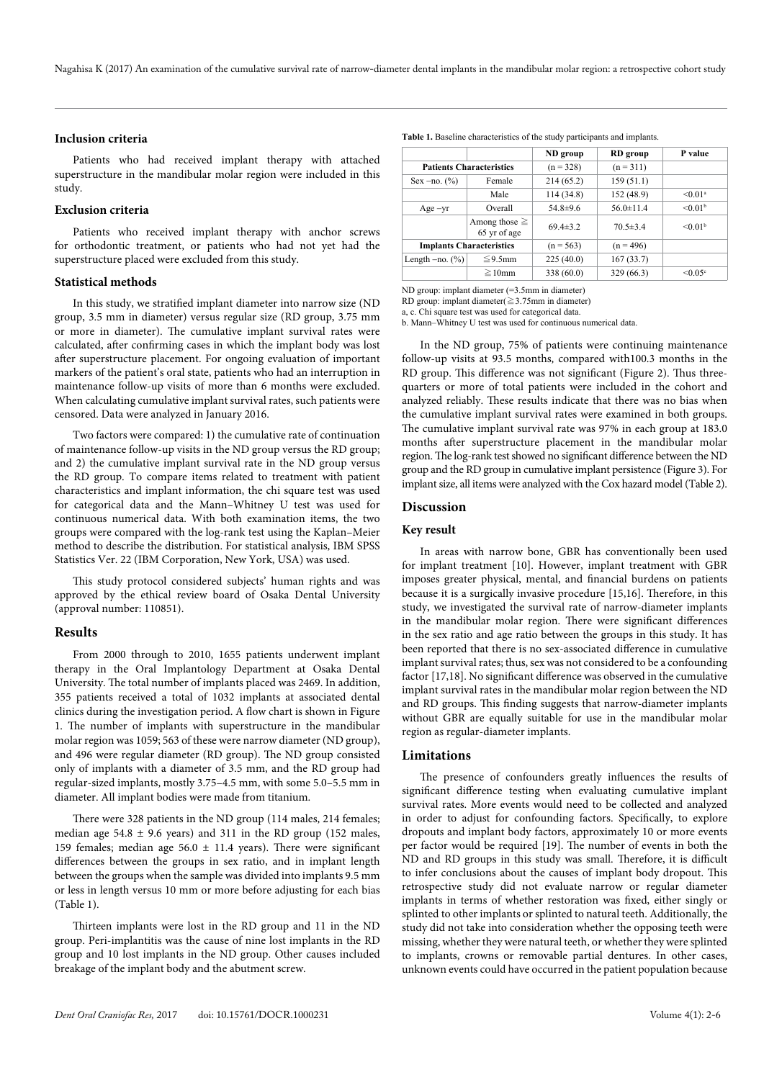Nagahisa K (2017) An examination of the cumulative survival rate of narrow-diameter dental implants in the mandibular molar region: a retrospective cohort study

## **Inclusion criteria**

Patients who had received implant therapy with attached superstructure in the mandibular molar region were included in this study.

## **Exclusion criteria**

Patients who received implant therapy with anchor screws for orthodontic treatment, or patients who had not yet had the superstructure placed were excluded from this study.

#### **Statistical methods**

In this study, we stratified implant diameter into narrow size (ND group, 3.5 mm in diameter) versus regular size (RD group, 3.75 mm or more in diameter). The cumulative implant survival rates were calculated, after confirming cases in which the implant body was lost after superstructure placement. For ongoing evaluation of important markers of the patient's oral state, patients who had an interruption in maintenance follow-up visits of more than 6 months were excluded. When calculating cumulative implant survival rates, such patients were censored. Data were analyzed in January 2016.

Two factors were compared: 1) the cumulative rate of continuation of maintenance follow-up visits in the ND group versus the RD group; and 2) the cumulative implant survival rate in the ND group versus the RD group. To compare items related to treatment with patient characteristics and implant information, the chi square test was used for categorical data and the Mann–Whitney U test was used for continuous numerical data. With both examination items, the two groups were compared with the log-rank test using the Kaplan–Meier method to describe the distribution. For statistical analysis, IBM SPSS Statistics Ver. 22 (IBM Corporation, New York, USA) was used.

This study protocol considered subjects' human rights and was approved by the ethical review board of Osaka Dental University (approval number: 110851).

#### **Results**

From 2000 through to 2010, 1655 patients underwent implant therapy in the Oral Implantology Department at Osaka Dental University. The total number of implants placed was 2469. In addition, 355 patients received a total of 1032 implants at associated dental clinics during the investigation period. A flow chart is shown in Figure 1. The number of implants with superstructure in the mandibular molar region was 1059; 563 of these were narrow diameter (ND group), and 496 were regular diameter (RD group). The ND group consisted only of implants with a diameter of 3.5 mm, and the RD group had regular-sized implants, mostly 3.75–4.5 mm, with some 5.0–5.5 mm in diameter. All implant bodies were made from titanium.

There were 328 patients in the ND group (114 males, 214 females; median age  $54.8 \pm 9.6$  years) and  $311$  in the RD group (152 males, 159 females; median age 56.0 ± 11.4 years). There were significant differences between the groups in sex ratio, and in implant length between the groups when the sample was divided into implants 9.5 mm or less in length versus 10 mm or more before adjusting for each bias (Table 1).

Thirteen implants were lost in the RD group and 11 in the ND group. Peri-implantitis was the cause of nine lost implants in the RD group and 10 lost implants in the ND group. Other causes included breakage of the implant body and the abutment screw.

|                                 |                                    | ND group       | <b>RD</b> group | P value               |
|---------------------------------|------------------------------------|----------------|-----------------|-----------------------|
| <b>Patients Characteristics</b> |                                    | $(n = 328)$    | $(n = 311)$     |                       |
| $Sex - no. (%)$                 | Female                             | 214(65.2)      | 159(51.1)       |                       |
|                                 | Male                               | 114(34.8)      | 152 (48.9)      | $< 0.01$ <sup>a</sup> |
| $Age - yr$                      | Overall                            | $54.8 \pm 9.6$ | $56.0 \pm 11.4$ | < 0.01 <sup>b</sup>   |
|                                 | Among those $\geq$<br>65 yr of age | $69.4 \pm 3.2$ | $70.5 \pm 3.4$  | < 0.01 <sup>b</sup>   |
| <b>Implants Characteristics</b> |                                    | $(n = 563)$    | $(n = 496)$     |                       |
| Length $-no.$ $(\%)$            | $\leq$ 9.5mm                       | 225(40.0)      | 167(33.7)       |                       |
|                                 | $\geq 10$ mm                       | 338 (60.0)     | 329 (66.3)      | $< 0.05$ <sup>c</sup> |

ND group: implant diameter (=3.5mm in diameter)

RD group: implant diameter(≧3.75mm in diameter)

a, c. Chi square test was used for categorical data.

b. Mann–Whitney U test was used for continuous numerical data.

In the ND group, 75% of patients were continuing maintenance follow-up visits at 93.5 months, compared with100.3 months in the RD group. This difference was not significant (Figure 2). Thus threequarters or more of total patients were included in the cohort and analyzed reliably. These results indicate that there was no bias when the cumulative implant survival rates were examined in both groups. The cumulative implant survival rate was 97% in each group at 183.0 months after superstructure placement in the mandibular molar region. The log-rank test showed no significant difference between the ND group and the RD group in cumulative implant persistence (Figure 3). For implant size, all items were analyzed with the Cox hazard model (Table 2).

# **Discussion**

# **Key result**

In areas with narrow bone, GBR has conventionally been used for implant treatment [10]. However, implant treatment with GBR imposes greater physical, mental, and financial burdens on patients because it is a surgically invasive procedure [15,16]. Therefore, in this study, we investigated the survival rate of narrow-diameter implants in the mandibular molar region. There were significant differences in the sex ratio and age ratio between the groups in this study. It has been reported that there is no sex-associated difference in cumulative implant survival rates; thus, sex was not considered to be a confounding factor [17,18]. No significant difference was observed in the cumulative implant survival rates in the mandibular molar region between the ND and RD groups. This finding suggests that narrow-diameter implants without GBR are equally suitable for use in the mandibular molar region as regular-diameter implants.

#### **Limitations**

The presence of confounders greatly influences the results of significant difference testing when evaluating cumulative implant survival rates. More events would need to be collected and analyzed in order to adjust for confounding factors. Specifically, to explore dropouts and implant body factors, approximately 10 or more events per factor would be required [19]. The number of events in both the ND and RD groups in this study was small. Therefore, it is difficult to infer conclusions about the causes of implant body dropout. This retrospective study did not evaluate narrow or regular diameter implants in terms of whether restoration was fixed, either singly or splinted to other implants or splinted to natural teeth. Additionally, the study did not take into consideration whether the opposing teeth were missing, whether they were natural teeth, or whether they were splinted to implants, crowns or removable partial dentures. In other cases, unknown events could have occurred in the patient population because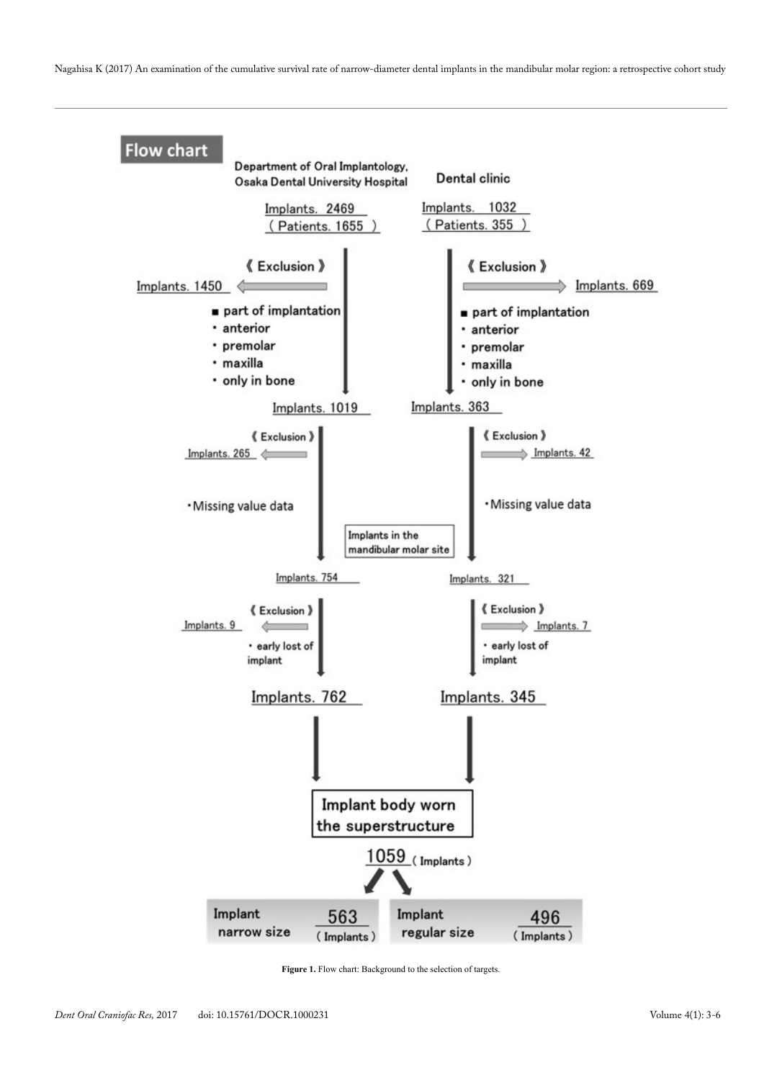Nagahisa K (2017) An examination of the cumulative survival rate of narrow-diameter dental implants in the mandibular molar region: a retrospective cohort study



**Figure 1.** Flow chart: Background to the selection of targets.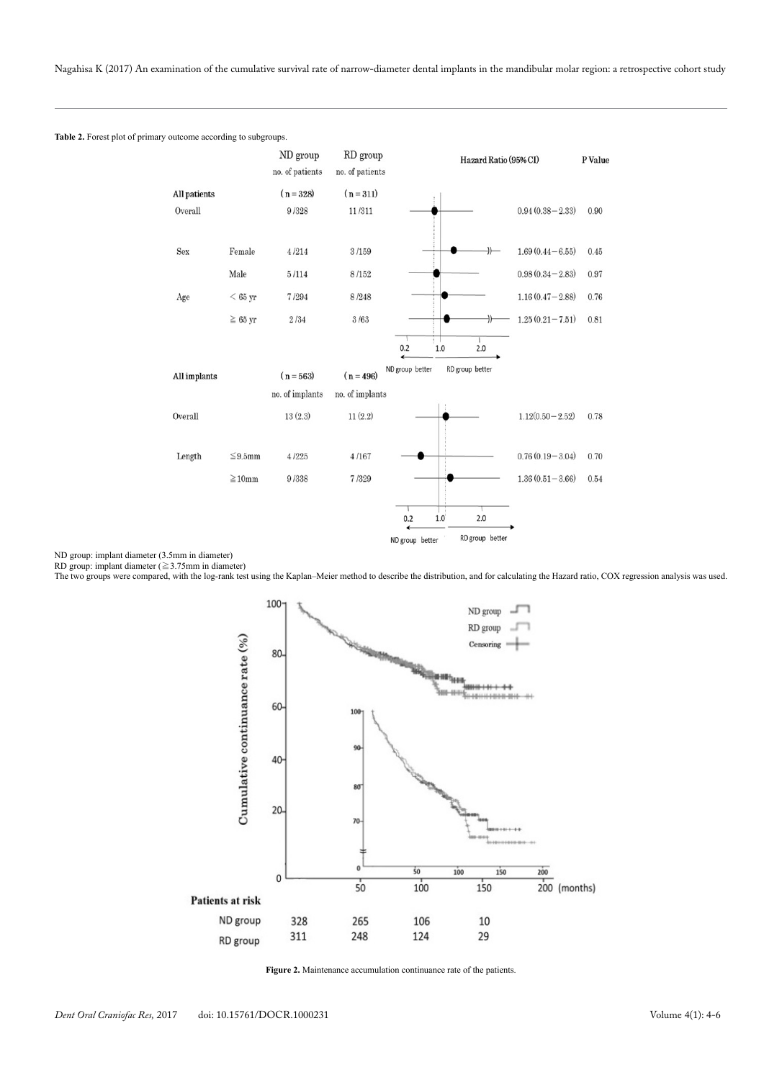Nagahisa K (2017) An examination of the cumulative survival rate of narrow-diameter dental implants in the mandibular molar region: a retrospective cohort study



**Table 2.** Forest plot of primary outcome according to subgroups.

ND group: implant diameter (3.5mm in diameter)

RD group: implant diameter ( $\geq$ 3.75mm in diameter)

The two groups were compared, with the log-rank test using the Kaplan–Meier method to describe the distribution, and for calculating the Hazard ratio, COX regression analysis was used.



**Figure 2.** Maintenance accumulation continuance rate of the patients.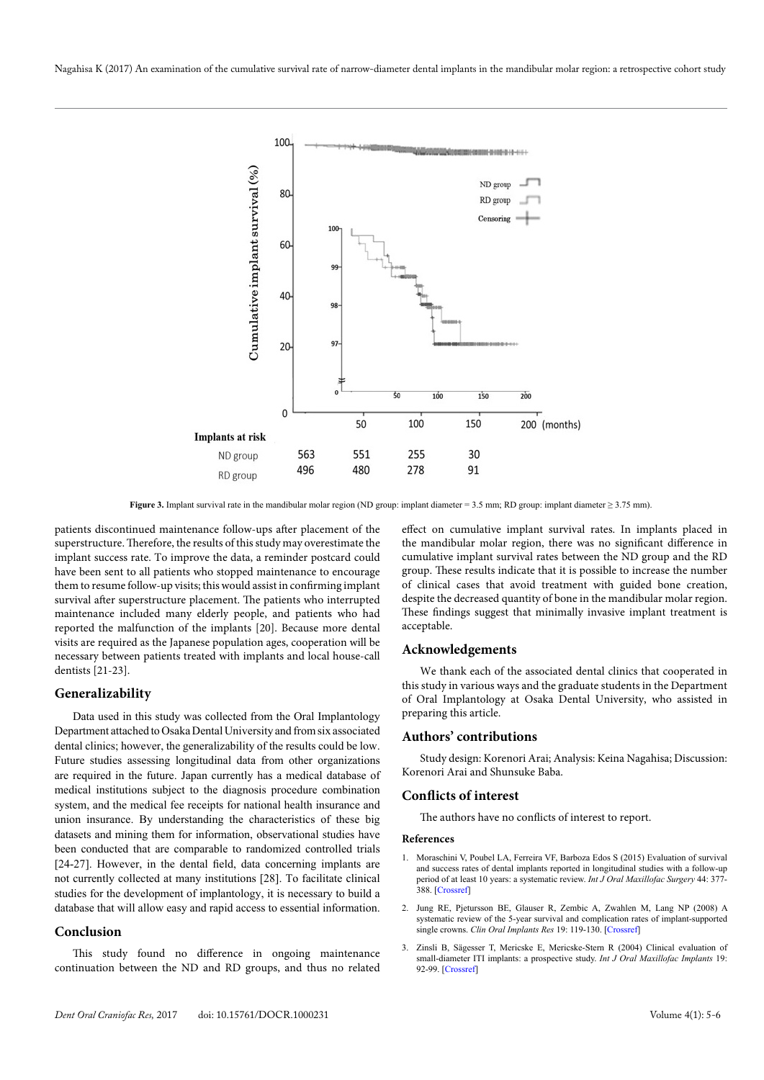

**Figure 3.** Implant survival rate in the mandibular molar region (ND group: implant diameter = 3.5 mm; RD group: implant diameter ≥ 3.75 mm).

patients discontinued maintenance follow-ups after placement of the superstructure. Therefore, the results of this study may overestimate the implant success rate. To improve the data, a reminder postcard could have been sent to all patients who stopped maintenance to encourage them to resume follow-up visits; this would assist in confirming implant survival after superstructure placement. The patients who interrupted maintenance included many elderly people, and patients who had reported the malfunction of the implants [20]. Because more dental visits are required as the Japanese population ages, cooperation will be necessary between patients treated with implants and local house-call dentists [21-23].

#### **Generalizability**

Data used in this study was collected from the Oral Implantology Department attached to Osaka Dental University and from six associated dental clinics; however, the generalizability of the results could be low. Future studies assessing longitudinal data from other organizations are required in the future. Japan currently has a medical database of medical institutions subject to the diagnosis procedure combination system, and the medical fee receipts for national health insurance and union insurance. By understanding the characteristics of these big datasets and mining them for information, observational studies have been conducted that are comparable to randomized controlled trials [24-27]. However, in the dental field, data concerning implants are not currently collected at many institutions [28]. To facilitate clinical studies for the development of implantology, it is necessary to build a database that will allow easy and rapid access to essential information.

# **Conclusion**

This study found no difference in ongoing maintenance continuation between the ND and RD groups, and thus no related

*Dent Oral Craniofac Res,* 2017 doi: 10.15761/DOCR.1000231 Volume 4(1): 5-6

effect on cumulative implant survival rates. In implants placed in the mandibular molar region, there was no significant difference in cumulative implant survival rates between the ND group and the RD group. These results indicate that it is possible to increase the number of clinical cases that avoid treatment with guided bone creation, despite the decreased quantity of bone in the mandibular molar region. These findings suggest that minimally invasive implant treatment is acceptable.

#### **Acknowledgements**

We thank each of the associated dental clinics that cooperated in this study in various ways and the graduate students in the Department of Oral Implantology at Osaka Dental University, who assisted in preparing this article.

#### **Authors' contributions**

Study design: Korenori Arai; Analysis: Keina Nagahisa; Discussion: Korenori Arai and Shunsuke Baba.

#### **Conflicts of interest**

The authors have no conflicts of interest to report.

#### **References**

- 1. Moraschini V, Poubel LA, Ferreira VF, Barboza Edos S (2015) Evaluation of survival and success rates of dental implants reported in longitudinal studies with a follow-up period of at least 10 years: a systematic review. *Int J Oral Maxillofac Surgery* 44: 377- <sup>2</sup>388. [\[Crossref\]](https://www.ncbi.nlm.nih.gov/pubmed/25467739)
- 2. Jung RE, Pjetursson BE, Glauser R, Zembic A, Zwahlen M, Lang NP (2008) A systematic review of the 5-year survival and complication rates of implant-supported single crowns. *Clin Oral Implants Res* 19: 119-130. [\[Crossref\]](https://www.ncbi.nlm.nih.gov/pubmed/18067597)
- 3. Zinsli B, Sägesser T, Mericske E, Mericske-Stern R (2004) Clinical evaluation of small-diameter ITI implants: a prospective study. *Int J Oral Maxillofac Implants* 19: 92-99. [\[Crossref\]](https://www.ncbi.nlm.nih.gov/pubmed/14982361)